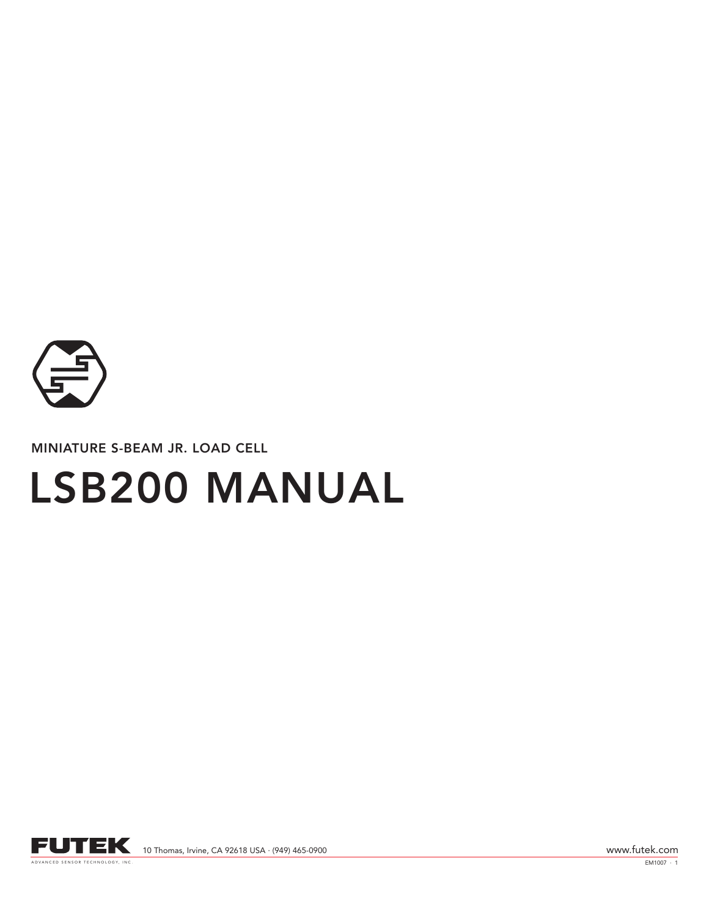

MINIATURE S-BEAM JR. LOAD CELL

# LSB200 MANUAL



EM1007 · 1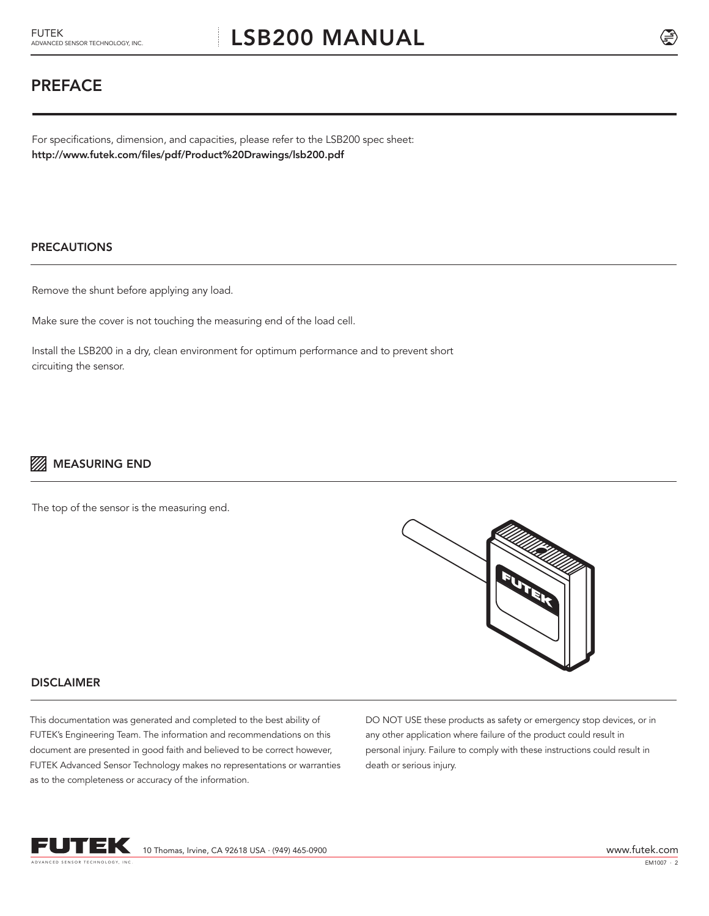## PREFACE

For specifications, dimension, and capacities, please refer to the LSB200 spec sheet: http://www.futek.com/files/pdf/Product%20Drawings/lsb200.pdf

#### PRECAUTIONS

Remove the shunt before applying any load.

Make sure the cover is not touching the measuring end of the load cell.

Install the LSB200 in a dry, clean environment for optimum performance and to prevent short circuiting the sensor.

### **MEASURING END**

The top of the sensor is the measuring end.



#### **DISCLAIMER**

This documentation was generated and completed to the best ability of FUTEK's Engineering Team. The information and recommendations on this document are presented in good faith and believed to be correct however, FUTEK Advanced Sensor Technology makes no representations or warranties as to the completeness or accuracy of the information.

DO NOT USE these products as safety or emergency stop devices, or in any other application where failure of the product could result in personal injury. Failure to comply with these instructions could result in death or serious injury.



10 Thomas, Irvine, CA 92618 USA · (949) 465-0900 www.futek.com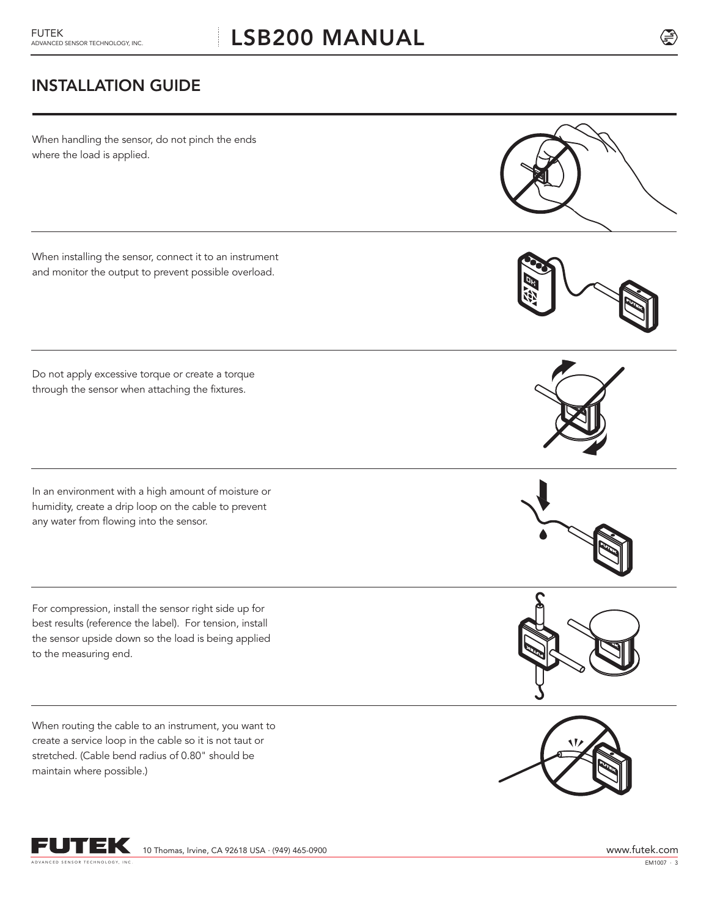# **LSB200 MANUAL**

# INSTALLATION GUIDE

When handling the sensor, do not pinch the ends where the load is applied.

When installing the sensor, connect it to an instrument and monitor the output to prevent possible overload.

Do not apply excessive torque or create a torque through the sensor when attaching the fixtures.

In an environment with a high amount of moisture or humidity, create a drip loop on the cable to prevent any water from flowing into the sensor.

For compression, install the sensor right side up for best results (reference the label). For tension, install the sensor upside down so the load is being applied to the measuring end.

When routing the cable to an instrument, you want to create a service loop in the cable so it is not taut or stretched. (Cable bend radius of 0.80" should be maintain where possible.)





OK









 $EM1007 + 3$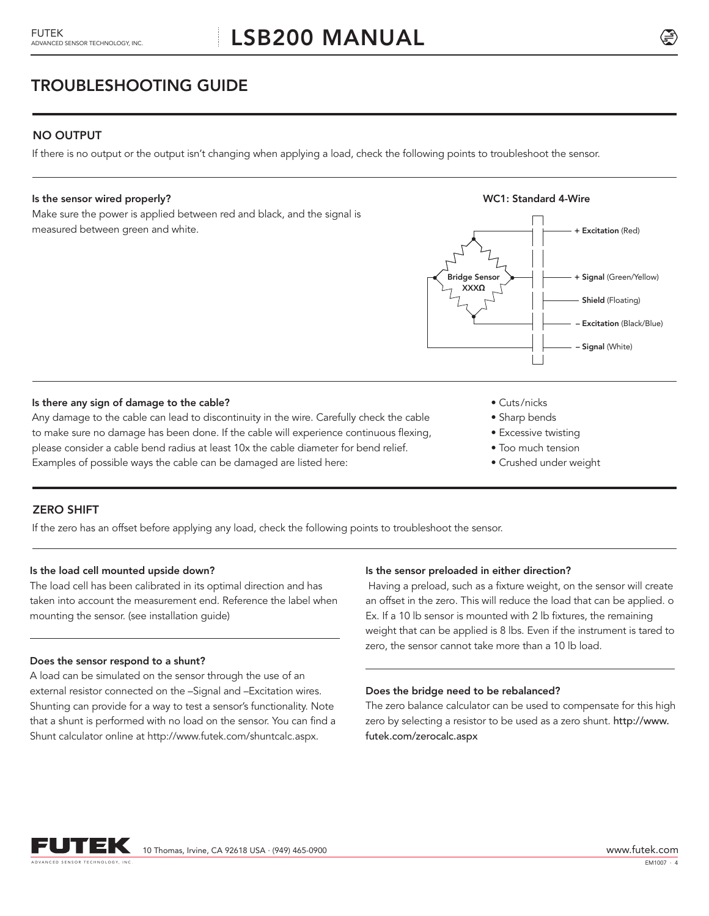TROUBLESHOOTING GUIDE

#### NO OUTPUT

If there is no output or the output isn't changing when applying a load, check the following points to troubleshoot the sensor.

#### Is the sensor wired properly?

Make sure the power is applied between red and black, and the signal is measured between green and white.



#### Is there any sign of damage to the cable?

Any damage to the cable can lead to discontinuity in the wire. Carefully check the cable to make sure no damage has been done. If the cable will experience continuous flexing, please consider a cable bend radius at least 10x the cable diameter for bend relief. Examples of possible ways the cable can be damaged are listed here:

- Cuts /nicks
- Sharp bends
- Excessive twisting
- Too much tension
- Crushed under weight

#### ZERO SHIFT

If the zero has an offset before applying any load, check the following points to troubleshoot the sensor.

#### Is the load cell mounted upside down?

The load cell has been calibrated in its optimal direction and has taken into account the measurement end. Reference the label when mounting the sensor. (see installation guide)

#### Does the sensor respond to a shunt?

A load can be simulated on the sensor through the use of an external resistor connected on the –Signal and –Excitation wires. Shunting can provide for a way to test a sensor's functionality. Note that a shunt is performed with no load on the sensor. You can find a Shunt calculator online at http://www.futek.com/shuntcalc.aspx.

#### Is the sensor preloaded in either direction?

 Having a preload, such as a fixture weight, on the sensor will create an offset in the zero. This will reduce the load that can be applied. o Ex. If a 10 lb sensor is mounted with 2 lb fixtures, the remaining weight that can be applied is 8 lbs. Even if the instrument is tared to zero, the sensor cannot take more than a 10 lb load.

#### Does the bridge need to be rebalanced?

The zero balance calculator can be used to compensate for this high zero by selecting a resistor to be used as a zero shunt. http://www. futek.com/zerocalc.aspx

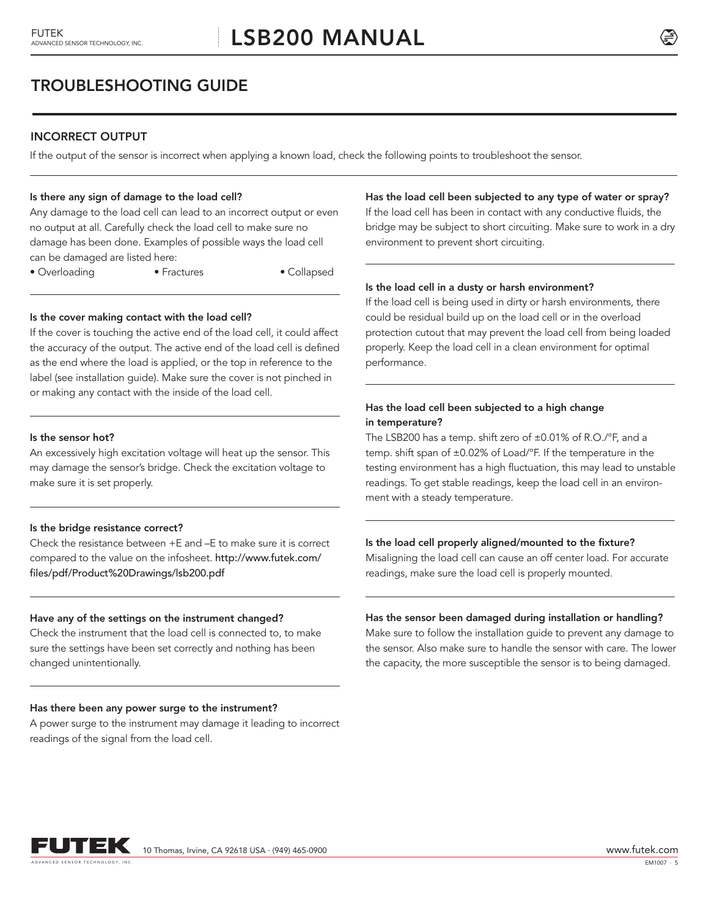# TROUBLESHOOTING GUIDE

#### INCORRECT OUTPUT

If the output of the sensor is incorrect when applying a known load, check the following points to troubleshoot the sensor.

#### Is there any sign of damage to the load cell?

Any damage to the load cell can lead to an incorrect output or even no output at all. Carefully check the load cell to make sure no damage has been done. Examples of possible ways the load cell can be damaged are listed here:

• Overloading • Fractures • Collapsed

#### Is the cover making contact with the load cell?

If the cover is touching the active end of the load cell, it could affect the accuracy of the output. The active end of the load cell is defined as the end where the load is applied, or the top in reference to the label (see installation guide). Make sure the cover is not pinched in or making any contact with the inside of the load cell.

#### Is the sensor hot?

An excessively high excitation voltage will heat up the sensor. This may damage the sensor's bridge. Check the excitation voltage to make sure it is set properly.

#### Is the bridge resistance correct?

Check the resistance between +E and –E to make sure it is correct compared to the value on the infosheet. http://www.futek.com/ files/pdf/Product%20Drawings/lsb200.pdf

#### Have any of the settings on the instrument changed?

Check the instrument that the load cell is connected to, to make sure the settings have been set correctly and nothing has been changed unintentionally.

#### Has there been any power surge to the instrument?

A power surge to the instrument may damage it leading to incorrect readings of the signal from the load cell.

#### Has the load cell been subjected to any type of water or spray?

If the load cell has been in contact with any conductive fluids, the bridge may be subject to short circuiting. Make sure to work in a dry environment to prevent short circuiting.

#### Is the load cell in a dusty or harsh environment?

If the load cell is being used in dirty or harsh environments, there could be residual build up on the load cell or in the overload protection cutout that may prevent the load cell from being loaded properly. Keep the load cell in a clean environment for optimal performance.

#### Has the load cell been subjected to a high change in temperature?

The LSB200 has a temp. shift zero of ±0.01% of R.O./°F, and a temp. shift span of ±0.02% of Load/°F. If the temperature in the testing environment has a high fluctuation, this may lead to unstable readings. To get stable readings, keep the load cell in an environment with a steady temperature.

#### Is the load cell properly aligned/mounted to the fixture?

Misaligning the load cell can cause an off center load. For accurate readings, make sure the load cell is properly mounted.

#### Has the sensor been damaged during installation or handling?

Make sure to follow the installation guide to prevent any damage to the sensor. Also make sure to handle the sensor with care. The lower the capacity, the more susceptible the sensor is to being damaged.